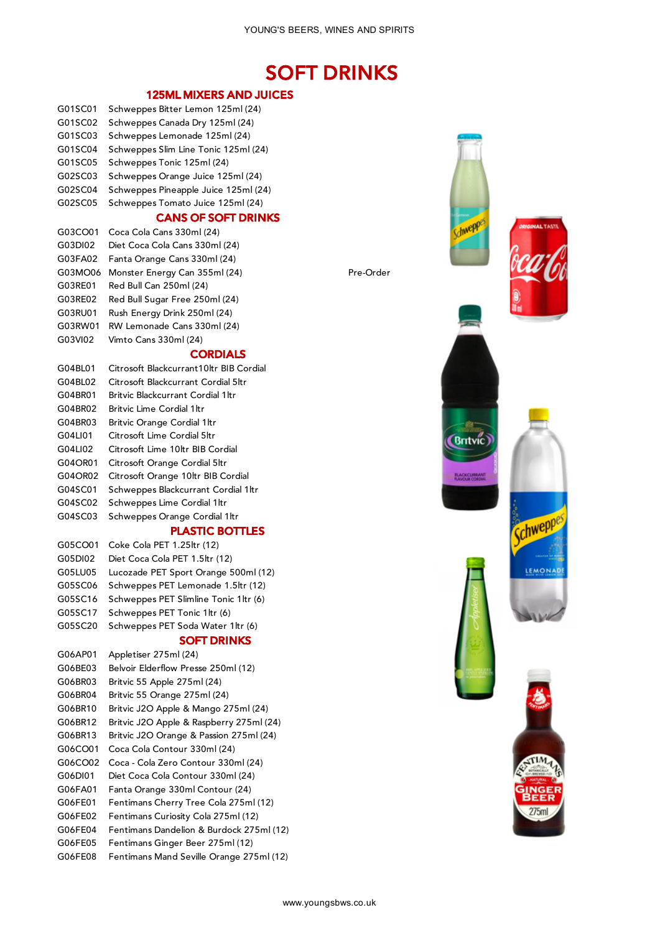# SOFT DRINKS

## 125ML MIXERS AND JUICES

- G01SC01 Schweppes Bitter Lemon 125ml (24)
- G01SC02 Schweppes Canada Dry 125ml (24)
- G01SC03 Schweppes Lemonade 125ml (24)
- G01SC04 Schweppes Slim Line Tonic 125ml (24)
- G01SC05 Schweppes Tonic 125ml (24)
- G02SC03 Schweppes Orange Juice 125ml (24)
- G02SC04 Schweppes Pineapple Juice 125ml (24)
- G02SC05 Schweppes Tomato Juice 125ml (24)

# CANS OF SOFT DRINKS

G03CO01 Coca Cola Cans 330ml (24) G03DI02 Diet Coca Cola Cans 330ml (24) G03FA02 Fanta Orange Cans 330ml (24) G03MO06 Monster Energy Can 355ml (24) Pre-Order G03RE01 Red Bull Can 250ml (24) G03RE02 Red Bull Sugar Free 250ml (24) G03RU01 Rush Energy Drink 250ml (24) G03RW01 RW Lemonade Cans 330ml (24) G03VI02 Vimto Cans 330ml (24)

#### **CORDIALS**

G04BL01 Citrosoft Blackcurrant10ltr BIB Cordial G04BL02 Citrosoft Blackcurrant Cordial 5ltr G04BR01 Britvic Blackcurrant Cordial 1ltr G04BR02 Britvic Lime Cordial 1ltr G04BR03 Britvic Orange Cordial 1ltr G04LI01 Citrosoft Lime Cordial 5ltr G04LI02 Citrosoft Lime 10ltr BIB Cordial G04OR01 Citrosoft Orange Cordial 5ltr G04OR02 Citrosoft Orange 10ltr BIB Cordial G04SC01 Schweppes Blackcurrant Cordial 1ltr G04SC02 Schweppes Lime Cordial 1ltr G04SC03 Schweppes Orange Cordial 1ltr

#### PLASTIC BOTTLES

- G05CO01 Coke Cola PET 1.25ltr (12) G05DI02 Diet Coca Cola PET 1.5ltr (12) G05LU05 Lucozade PET Sport Orange 500ml (12) G05SC06 Schweppes PET Lemonade 1.5ltr (12) G05SC16 Schweppes PET Slimline Tonic 1ltr (6) G05SC17 Schweppes PET Tonic 1ltr (6) G05SC20 Schweppes PET Soda Water 1ltr (6)
	- SOFT DRINKS

G06AP01 Appletiser 275ml (24) G06BE03 Belvoir Elderflow Presse 250ml (12) G06BR03 Britvic 55 Apple 275ml (24) G06BR04 Britvic 55 Orange 275ml (24) G06BR10 Britvic J2O Apple & Mango 275ml (24) G06BR12 Britvic J2O Apple & Raspberry 275ml (24) G06BR13 Britvic J2O Orange & Passion 275ml (24) G06CO01 Coca Cola Contour 330ml (24) G06CO02 Coca - Cola Zero Contour 330ml (24) G06DI01 Diet Coca Cola Contour 330ml (24) G06FA01 Fanta Orange 330ml Contour (24) G06FE01 Fentimans Cherry Tree Cola 275ml (12) G06FE02 Fentimans Curiosity Cola 275ml (12) G06FE04 Fentimans Dandelion & Burdock 275ml (12) G06FE05 Fentimans Ginger Beer 275ml (12) G06FE08 Fentimans Mand Seville Orange 275ml (12)





**Invept** 





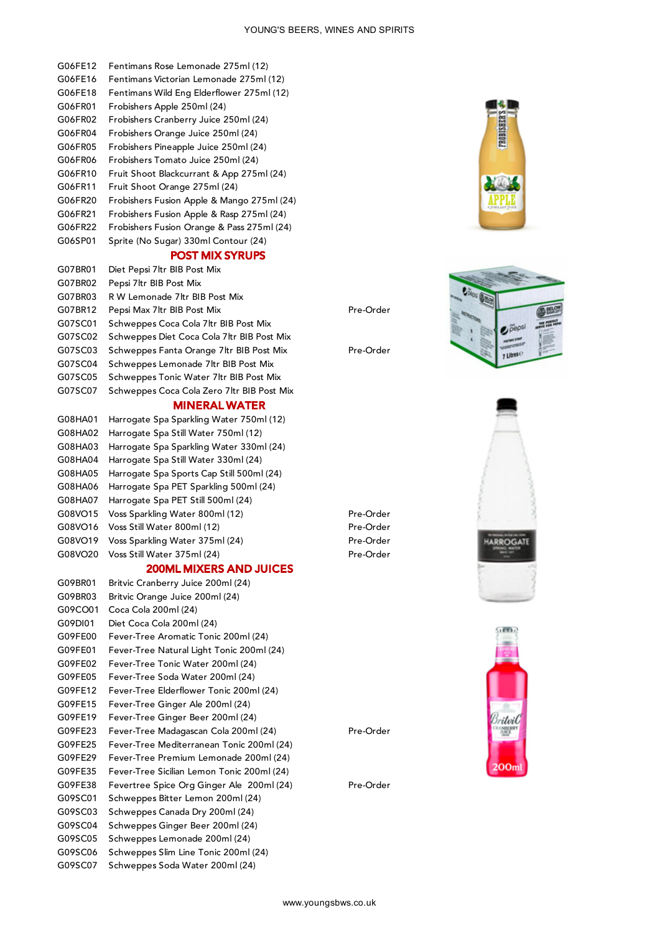#### G06FE12 Fentimans Rose Lemonade 275ml (12)

- G06FE16 Fentimans Victorian Lemonade 275ml (12)
- G06FE18 Fentimans Wild Eng Elderflower 275ml (12)
- G06FR01 Frobishers Apple 250ml (24)
- G06FR02 Frobishers Cranberry Juice 250ml (24)
- G06FR04 Frobishers Orange Juice 250ml (24)
- G06FR05 Frobishers Pineapple Juice 250ml (24)
- G06FR06 Frobishers Tomato Juice 250ml (24)
- G06FR10 Fruit Shoot Blackcurrant & App 275ml (24)
- G06FR11 Fruit Shoot Orange 275ml (24)
- G06FR20 Frobishers Fusion Apple & Mango 275ml (24)
- G06FR21 Frobishers Fusion Apple & Rasp 275ml (24)
- G06FR22 Frobishers Fusion Orange & Pass 275ml (24)
- G06SP01 Sprite (No Sugar) 330ml Contour (24)

#### POST MIX SYRUPS

| G07BR01 | Diet Pepsi 7 Itr BIB Post Mix               |           |
|---------|---------------------------------------------|-----------|
| G07BR02 | Pepsi 7 Itr BIB Post Mix                    |           |
| G07BR03 | R W Lemonade 7ltr BIB Post Mix              |           |
| G07BR12 | Pepsi Max 7 Itr BIB Post Mix                | Pre-Order |
| G07SC01 | Schweppes Coca Cola 7 ltr BIB Post Mix      |           |
| G07SC02 | Schweppes Diet Coca Cola 7 Itr BIB Post Mix |           |
| G07SC03 | Schweppes Fanta Orange 7 ltr BIB Post Mix   | Pre-Order |
| G07SC04 | Schweppes Lemonade 7 ltr BIB Post Mix       |           |
| G07SC05 | Schweppes Tonic Water 7 ltr BIB Post Mix    |           |
| G07SC07 | Schweppes Coca Cola Zero 7ltr BIB Post Mix  |           |

#### MINERAL WATER

G08HA01 Harrogate Spa Sparkling Water 750ml (12) G08HA02 Harrogate Spa Still Water 750ml (12) G08HA03 Harrogate Spa Sparkling Water 330ml (24) G08HA04 Harrogate Spa Still Water 330ml (24) G08HA05 Harrogate Spa Sports Cap Still 500ml (24) G08HA06 Harrogate Spa PET Sparkling 500ml (24) G08HA07 Harrogate Spa PET Still 500ml (24) G08VO15 Voss Sparkling Water 800ml (12) Pre-Order G08VO16 Voss Still Water 800ml (12) Pre-Order G08VO19 Voss Sparkling Water 375ml (24) Pre-Order G08VO20 Voss Still Water 375ml (24) Pre-Order

#### 200ML MIXERS AND JUICES

G09BR01 Britvic Cranberry Juice 200ml (24) G09BR03 Britvic Orange Juice 200ml (24) G09CO01 Coca Cola 200ml (24) G09DI01 Diet Coca Cola 200ml (24) G09FE00 Fever-Tree Aromatic Tonic 200ml (24) G09FE01 Fever-Tree Natural Light Tonic 200ml (24) G09FE02 Fever-Tree Tonic Water 200ml (24) G09FE05 Fever-Tree Soda Water 200ml (24) G09FE12 Fever-Tree Elderflower Tonic 200ml (24) G09FE15 Fever-Tree Ginger Ale 200ml (24) G09FE19 Fever-Tree Ginger Beer 200ml (24) G09FE23 Fever-Tree Madagascan Cola 200ml (24) Pre-Order G09FE25 Fever-Tree Mediterranean Tonic 200ml (24) G09FE29 Fever-Tree Premium Lemonade 200ml (24) G09FE35 Fever-Tree Sicilian Lemon Tonic 200ml (24) G09FE38 Fevertree Spice Org Ginger Ale 200ml (24) Pre-Order G09SC01 Schweppes Bitter Lemon 200ml (24) G09SC03 Schweppes Canada Dry 200ml (24) G09SC04 Schweppes Ginger Beer 200ml (24) G09SC05 Schweppes Lemonade 200ml (24) G09SC06 Schweppes Slim Line Tonic 200ml (24) G09SC07 Schweppes Soda Water 200ml (24)







 $e^{\frac{\pi}{\rho}e\rho s}$ 

v Litres